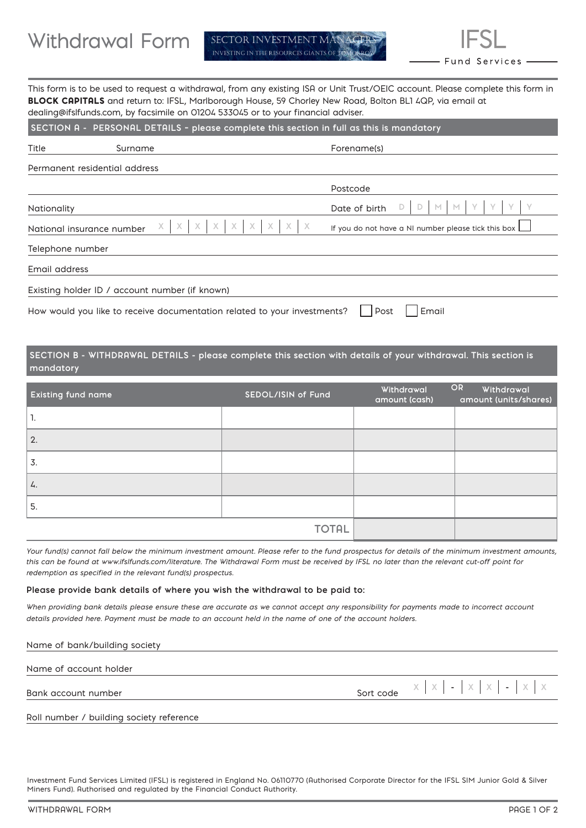This form is to be used to request a withdrawal, from any existing ISA or Unit Trust/OEIC account. Please complete this form in BLOCK CAPITALS and return to: IFSL, Marlborough House, 59 Chorley New Road, Bolton BL1 4QP, via email at dealing@ifslfunds.com, by facsimile on 01204 533045 or to your financial adviser.

| SECTION A - PERSONAL DETAILS - please complete this section in full as this is mandatory  |                                                |                                                                                                                     |  |  |  |
|-------------------------------------------------------------------------------------------|------------------------------------------------|---------------------------------------------------------------------------------------------------------------------|--|--|--|
| Title                                                                                     | Surname                                        | Forename(s)                                                                                                         |  |  |  |
|                                                                                           | Permanent residential address                  |                                                                                                                     |  |  |  |
|                                                                                           |                                                | Postcode                                                                                                            |  |  |  |
| <b>Nationality</b>                                                                        |                                                | Date of birth                                                                                                       |  |  |  |
| National insurance number                                                                 |                                                | X<br>X<br>$\times$<br>X<br>$\times$<br>$X -$<br>$\mathsf{X}$<br>If you do not have a NI number please tick this box |  |  |  |
| Telephone number                                                                          |                                                |                                                                                                                     |  |  |  |
| Email address                                                                             |                                                |                                                                                                                     |  |  |  |
|                                                                                           | Existing holder ID / account number (if known) |                                                                                                                     |  |  |  |
| Email<br>How would you like to receive documentation related to your investments?<br>Post |                                                |                                                                                                                     |  |  |  |

**SECTION B - WITHDRAWAL DETAILS - please complete this section with details of your withdrawal. This section is mandatory** 

| <b>Existing fund name</b> | SEDOL/ISIN of Fund | Withdrawal<br>amount (cash) | OR<br>Withdrawal<br>amount (units/shares) |
|---------------------------|--------------------|-----------------------------|-------------------------------------------|
| ι.                        |                    |                             |                                           |
| 2.                        |                    |                             |                                           |
| 3.                        |                    |                             |                                           |
| 4.                        |                    |                             |                                           |
| 5.                        |                    |                             |                                           |
|                           | <b>TOTAL</b>       |                             |                                           |

*Your fund(s) cannot fall below the minimum investment amount. Please refer to the fund prospectus for details of the minimum investment amounts, this can be found at www.ifslfunds.com/literature. The Withdrawal Form must be received by IFSL no later than the relevant cut-off point for redemption as specified in the relevant fund(s) prospectus.*

### **Please provide bank details of where you wish the withdrawal to be paid to:**

*When providing bank details please ensure these are accurate as we cannot accept any responsibility for payments made to incorrect account details provided here. Payment must be made to an account held in the name of one of the account holders.*

| Name of bank/building society |                                                                |
|-------------------------------|----------------------------------------------------------------|
| Name of account holder        |                                                                |
| Bank account number           | Sort code $X \mid X \mid - \mid X \mid X \mid - \mid X \mid X$ |

Roll number / building society reference

Investment Fund Services Limited (IFSL) is registered in England No. 06110770 (Authorised Corporate Director for the IFSL SIM Junior Gold & Silver Miners Fund). Authorised and regulated by the Financial Conduct Authority.